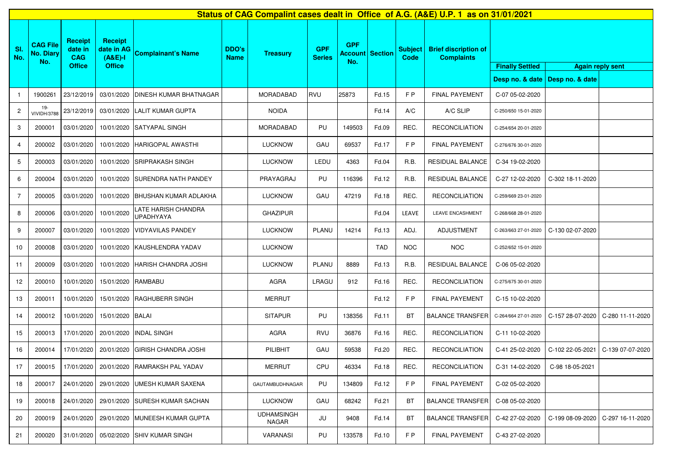| Status of CAG Compalint cases dealt in Office of A.G. (A&E) U.P. 1 as on 31/01/2021 |                                            |                                                          |                                                            |                                         |                             |                            |                             |                                             |            |                        |                                                  |                                           |                  |                         |
|-------------------------------------------------------------------------------------|--------------------------------------------|----------------------------------------------------------|------------------------------------------------------------|-----------------------------------------|-----------------------------|----------------------------|-----------------------------|---------------------------------------------|------------|------------------------|--------------------------------------------------|-------------------------------------------|------------------|-------------------------|
| SI.<br>No.                                                                          | <b>CAG File</b><br><b>No. Diary</b><br>No. | <b>Receipt</b><br>date in<br><b>CAG</b><br><b>Office</b> | <b>Receipt</b><br>date in AG<br>$(A&E)-I$<br><b>Office</b> | <b>Complainant's Name</b>               | <b>DDO's</b><br><b>Name</b> | <b>Treasury</b>            | <b>GPF</b><br><b>Series</b> | <b>GPF</b><br><b>Account Section</b><br>No. |            | <b>Subject</b><br>Code | <b>Brief discription of</b><br><b>Complaints</b> | <b>Finally Settled</b><br>Desp no. & date | Desp no. & date  | <b>Again reply sent</b> |
|                                                                                     | 1900261                                    | 23/12/2019                                               | 03/01/2020                                                 | <b>DINESH KUMAR BHATNAGAR</b>           |                             | <b>MORADABAD</b>           | RVU                         | 25873                                       | Fd.15      | F P                    | <b>FINAL PAYEMENT</b>                            | C-07 05-02-2020                           |                  |                         |
| $\overline{c}$                                                                      | 19-<br><b>VIVIDH/3788</b>                  | 23/12/2019                                               | 03/01/2020                                                 | LALIT KUMAR GUPTA                       |                             | <b>NOIDA</b>               |                             |                                             | Fd.14      | A/C                    | A/C SLIP                                         | C-250/650 15-01-2020                      |                  |                         |
| 3                                                                                   | 200001                                     | 03/01/2020                                               | 10/01/2020                                                 | <b>SATYAPAL SINGH</b>                   |                             | MORADABAD                  | PU                          | 149503                                      | Fd.09      | REC.                   | <b>RECONCILIATION</b>                            | C-254/654 20-01-2020                      |                  |                         |
| 4                                                                                   | 200002                                     | 03/01/2020                                               | 10/01/2020                                                 | <b>HARIGOPAL AWASTHI</b>                |                             | <b>LUCKNOW</b>             | GAU                         | 69537                                       | Fd.17      | FP                     | <b>FINAL PAYEMENT</b>                            | C-276/676 30-01-2020                      |                  |                         |
| 5                                                                                   | 200003                                     | 03/01/2020                                               | 10/01/2020                                                 | <b>SRIPRAKASH SINGH</b>                 |                             | <b>LUCKNOW</b>             | LEDU                        | 4363                                        | Fd.04      | R.B.                   | RESIDUAL BALANCE                                 | C-34 19-02-2020                           |                  |                         |
| 6                                                                                   | 200004                                     | 03/01/2020                                               | 10/01/2020                                                 | <b>SURENDRA NATH PANDEY</b>             |                             | PRAYAGRAJ                  | PU                          | 116396                                      | Fd.12      | R.B.                   | RESIDUAL BALANCE                                 | C-27 12-02-2020                           | C-302 18-11-2020 |                         |
| 7                                                                                   | 200005                                     | 03/01/2020                                               | 10/01/2020                                                 | <b>BHUSHAN KUMAR ADLAKHA</b>            |                             | <b>LUCKNOW</b>             | GAU                         | 47219                                       | Fd.18      | REC.                   | <b>RECONCILIATION</b>                            | C-259/669 23-01-2020                      |                  |                         |
| 8                                                                                   | 200006                                     | 03/01/2020                                               | 10/01/2020                                                 | LATE HARISH CHANDRA<br><b>UPADHYAYA</b> |                             | <b>GHAZIPUR</b>            |                             |                                             | Fd.04      | LEAVE                  | LEAVE ENCASHMENT                                 | C-268/668 28-01-2020                      |                  |                         |
| 9                                                                                   | 200007                                     | 03/01/2020                                               | 10/01/2020                                                 | <b>VIDYAVILAS PANDEY</b>                |                             | <b>LUCKNOW</b>             | PLANU                       | 14214                                       | Fd.13      | ADJ.                   | <b>ADJUSTMENT</b>                                | C-263/663 27-01-2020                      | C-130 02-07-2020 |                         |
| 10                                                                                  | 200008                                     | 03/01/2020                                               | 10/01/2020                                                 | KAUSHLENDRA YADAV                       |                             | <b>LUCKNOW</b>             |                             |                                             | <b>TAD</b> | <b>NOC</b>             | <b>NOC</b>                                       | C-252/652 15-01-2020                      |                  |                         |
| 11                                                                                  | 200009                                     | 03/01/2020                                               | 10/01/2020                                                 | <b>HARISH CHANDRA JOSHI</b>             |                             | <b>LUCKNOW</b>             | PLANU                       | 8889                                        | Fd.13      | R.B.                   | RESIDUAL BALANCE                                 | C-06 05-02-2020                           |                  |                         |
| 12                                                                                  | 200010                                     | 10/01/2020                                               | 15/01/2020                                                 | <b>RAMBABU</b>                          |                             | <b>AGRA</b>                | LRAGU                       | 912                                         | Fd.16      | REC.                   | <b>RECONCILIATION</b>                            | C-275/675 30-01-2020                      |                  |                         |
| 13                                                                                  | 200011                                     | 10/01/2020                                               | 15/01/2020                                                 | <b>RAGHUBERR SINGH</b>                  |                             | <b>MERRUT</b>              |                             |                                             | Fd.12      | F P                    | <b>FINAL PAYEMENT</b>                            | C-15 10-02-2020                           |                  |                         |
| 14                                                                                  | 200012                                     | 10/01/2020                                               | 15/01/2020                                                 | <b>BALAI</b>                            |                             | <b>SITAPUR</b>             | PU                          | 138356                                      | Fd.11      | BT                     | <b>BALANCE TRANSFER</b>                          | C-264/664 27-01-2020                      | C-157 28-07-2020 | C-280 11-11-2020        |
| 15                                                                                  | 200013                                     | 17/01/2020                                               | 20/01/2020                                                 | <b>INDAL SINGH</b>                      |                             | <b>AGRA</b>                | <b>RVU</b>                  | 36876                                       | Fd.16      | REC.                   | <b>RECONCILIATION</b>                            | C-11 10-02-2020                           |                  |                         |
| 16                                                                                  | 200014                                     | 17/01/2020                                               | 20/01/2020                                                 | İGIRISH CHANDRA JOSHI                   |                             | PILIBHIT                   | GAU                         | 59538                                       | Fd.20      | REC.                   | <b>RECONCILIATION</b>                            | C-41 25-02-2020                           | C-102 22-05-2021 | C-139 07-07-2020        |
| 17                                                                                  | 200015                                     | 17/01/2020                                               | 20/01/2020                                                 | <b>RAMRAKSH PAL YADAV</b>               |                             | MERRUT                     | CPU                         | 46334                                       | Fd.18      | REC.                   | <b>RECONCILIATION</b>                            | C-31 14-02-2020                           | C-98 18-05-2021  |                         |
| 18                                                                                  | 200017                                     |                                                          | 24/01/2020 29/01/2020                                      | IUMESH KUMAR SAXENA                     |                             | GAUTAMBUDHNAGAR            | PU                          | 134809                                      | Fd.12      | F P                    | <b>FINAL PAYEMENT</b>                            | C-02 05-02-2020                           |                  |                         |
| 19                                                                                  | 200018                                     | 24/01/2020                                               | 29/01/2020                                                 | <b>SURESH KUMAR SACHAN</b>              |                             | <b>LUCKNOW</b>             | GAU                         | 68242                                       | Fd.21      | BT                     | <b>BALANCE TRANSFER</b>                          | C-08 05-02-2020                           |                  |                         |
| 20                                                                                  | 200019                                     | 24/01/2020                                               | 29/01/2020                                                 | MUNEESH KUMAR GUPTA                     |                             | <b>UDHAMSINGH</b><br>NAGAR | JU                          | 9408                                        | Fd.14      | BT                     | <b>BALANCE TRANSFER</b>                          | C-42 27-02-2020                           | C-199 08-09-2020 | C-297 16-11-2020        |
| 21                                                                                  | 200020                                     | 31/01/2020                                               | 05/02/2020                                                 | <b>SHIV KUMAR SINGH</b>                 |                             | VARANASI                   | PU                          | 133578                                      | Fd.10      | F P                    | <b>FINAL PAYEMENT</b>                            | C-43 27-02-2020                           |                  |                         |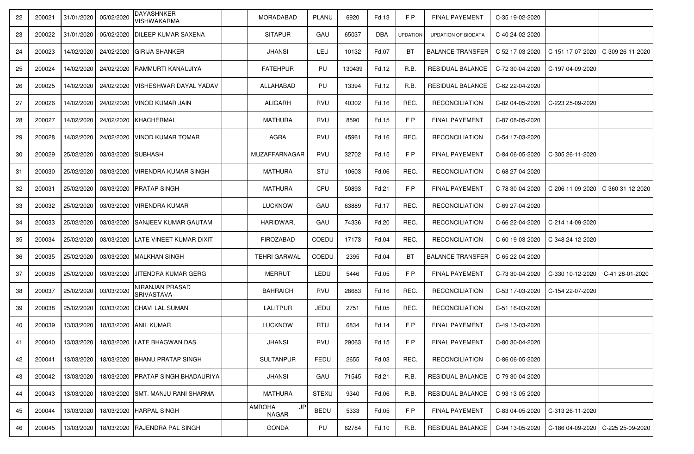| 22 | 200021 | 31/01/2020 | 05/02/2020 | DAYASHNKER<br>VISHWAKARMA                           | MORADABAD                    | PLANU        | 6920   | Fd.13      | F P             | <b>FINAL PAYEMENT</b>   | C-35 19-02-2020 |                  |                                     |
|----|--------|------------|------------|-----------------------------------------------------|------------------------------|--------------|--------|------------|-----------------|-------------------------|-----------------|------------------|-------------------------------------|
| 23 | 200022 | 31/01/2020 | 05/02/2020 | IDILEEP KUMAR SAXENA                                | <b>SITAPUR</b>               | GAU          | 65037  | <b>DBA</b> | <b>UPDATION</b> | UPDATION OF BIODATA     | C-40 24-02-2020 |                  |                                     |
| 24 | 200023 | 14/02/2020 | 24/02/2020 | <b>GIRIJA SHANKER</b>                               | JHANSI                       | LEU          | 10132  | Fd.07      | <b>BT</b>       | <b>BALANCE TRANSFER</b> | C-52 17-03-2020 |                  | C-151 17-07-2020   C-309 26-11-2020 |
| 25 | 200024 | 14/02/2020 | 24/02/2020 | RAMMURTI KANAUJIYA                                  | <b>FATEHPUR</b>              | PU           | 130439 | Fd.12      | R.B.            | RESIDUAL BALANCE        | C-72 30-04-2020 | C-197 04-09-2020 |                                     |
| 26 | 200025 | 14/02/2020 | 24/02/2020 | VISHESHWAR DAYAL YADAV                              | ALLAHABAD                    | PU           | 13394  | Fd.12      | R.B.            | <b>RESIDUAL BALANCE</b> | C-62 22-04-2020 |                  |                                     |
| 27 | 200026 | 14/02/2020 | 24/02/2020 | <b>VINOD KUMAR JAIN</b>                             | <b>ALIGARH</b>               | RVU          | 40302  | Fd.16      | REC.            | <b>RECONCILIATION</b>   | C-82 04-05-2020 | C-223 25-09-2020 |                                     |
| 28 | 200027 | 14/02/2020 | 24/02/2020 | KHACHERMAL                                          | <b>MATHURA</b>               | RVU          | 8590   | Fd.15      | F P             | <b>FINAL PAYEMENT</b>   | C-87 08-05-2020 |                  |                                     |
| 29 | 200028 | 14/02/2020 | 24/02/2020 | <b>IVINOD KUMAR TOMAR</b>                           | <b>AGRA</b>                  | RVU          | 45961  | Fd.16      | REC.            | <b>RECONCILIATION</b>   | C-54 17-03-2020 |                  |                                     |
| 30 | 200029 | 25/02/2020 | 03/03/2020 | <b>SUBHASH</b>                                      | <b>MUZAFFARNAGAR</b>         | RVU          | 32702  | Fd.15      | F P             | <b>FINAL PAYEMENT</b>   | C-84 06-05-2020 | C-305 26-11-2020 |                                     |
| 31 | 200030 | 25/02/2020 | 03/03/2020 | <b>VIRENDRA KUMAR SINGH</b>                         | <b>MATHURA</b>               | STU          | 10603  | Fd.06      | REC.            | <b>RECONCILIATION</b>   | C-68 27-04-2020 |                  |                                     |
| 32 | 200031 | 25/02/2020 | 03/03/2020 | <b>PRATAP SINGH</b>                                 | <b>MATHURA</b>               | CPU          | 50893  | Fd.21      | F P             | <b>FINAL PAYEMENT</b>   | C-78 30-04-2020 | C-206 11-09-2020 | C-360 31-12-2020                    |
| 33 | 200032 | 25/02/2020 | 03/03/2020 | VIRENDRA KUMAR                                      | <b>LUCKNOW</b>               | GAU          | 63889  | Fd.17      | REC.            | <b>RECONCILIATION</b>   | C-69 27-04-2020 |                  |                                     |
| 34 | 200033 | 25/02/2020 | 03/03/2020 | <b>ISANJEEV KUMAR GAUTAM</b>                        | HARIDWAR,                    | GAU          | 74336  | Fd.20      | REC.            | <b>RECONCILIATION</b>   | C-66 22-04-2020 | C-214 14-09-2020 |                                     |
| 35 | 200034 | 25/02/2020 | 03/03/2020 | ILATE VINEET KUMAR DIXIT                            | <b>FIROZABAD</b>             | <b>COEDU</b> | 17173  | Fd.04      | REC.            | <b>RECONCILIATION</b>   | C-60 19-03-2020 | C-348 24-12-2020 |                                     |
| 36 | 200035 | 25/02/2020 | 03/03/2020 | <b>MALKHAN SINGH</b>                                | <b>TEHRI GARWAL</b>          | COEDU        | 2395   | Fd.04      | <b>BT</b>       | <b>BALANCE TRANSFER</b> | C-65 22-04-2020 |                  |                                     |
| 37 | 200036 | 25/02/2020 | 03/03/2020 | JITENDRA KUMAR GERG                                 | <b>MERRUT</b>                | LEDU         | 5446   | Fd.05      | F P             | <b>FINAL PAYEMENT</b>   | C-73 30-04-2020 | C-330 10-12-2020 | C-41 28-01-2020                     |
| 38 | 200037 | 25/02/2020 | 03/03/2020 | NIRANJAN PRASAD<br>SRIVASTAVA                       | BAHRAICH                     | RVU          | 28683  | Fd.16      | REC.            | <b>RECONCILIATION</b>   | C-53 17-03-2020 | C-154 22-07-2020 |                                     |
| 39 | 200038 | 25/02/2020 | 03/03/2020 | <b>CHAVI LAL SUMAN</b>                              | <b>LALITPUR</b>              | JEDU         | 2751   | Fd.05      | REC.            | <b>RECONCILIATION</b>   | C-51 16-03-2020 |                  |                                     |
| 40 | 200039 | 13/03/2020 |            | 18/03/2020 ANIL KUMAR                               | LUCKNOW                      | <b>RTU</b>   | 6834   | Fd.14      | F P             | <b>FINAL PAYEMENT</b>   | C-49 13-03-2020 |                  |                                     |
|    |        |            |            | 200040   13/03/2020   18/03/2020   LATE BHAGWAN DAS | <b>JHANSI</b>                | RVU          | 29063  | Fd.15      | FP              | FINAL PAYEMENT          | C-80 30-04-2020 |                  |                                     |
| 42 | 200041 | 13/03/2020 | 18/03/2020 | <b>BHANU PRATAP SINGH</b>                           | <b>SULTANPUR</b>             | <b>FEDU</b>  | 2655   | Fd.03      | REC.            | <b>RECONCILIATION</b>   | C-86 06-05-2020 |                  |                                     |
| 43 | 200042 | 13/03/2020 | 18/03/2020 | <b>IPRATAP SINGH BHADAURIYA</b>                     | <b>JHANSI</b>                | GAU          | 71545  | Fd.21      | R.B.            | RESIDUAL BALANCE        | C-79 30-04-2020 |                  |                                     |
| 44 | 200043 | 13/03/2020 | 18/03/2020 | <b>SMT. MANJU RANI SHARMA</b>                       | <b>MATHURA</b>               | <b>STEXU</b> | 9340   | Fd.06      | R.B.            | RESIDUAL BALANCE        | C-93 13-05-2020 |                  |                                     |
| 45 | 200044 | 13/03/2020 | 18/03/2020 | <b>HARPAL SINGH</b>                                 | JP<br><b>AMROHA</b><br>NAGAR | <b>BEDU</b>  | 5333   | Fd.05      | F P             | <b>FINAL PAYEMENT</b>   | C-83 04-05-2020 | C-313 26-11-2020 |                                     |
| 46 | 200045 | 13/03/2020 |            | 18/03/2020 RAJENDRA PAL SINGH                       | GONDA                        | PU           | 62784  | Fd.10      | R.B.            | RESIDUAL BALANCE        | C-94 13-05-2020 |                  | C-186 04-09-2020   C-225 25-09-2020 |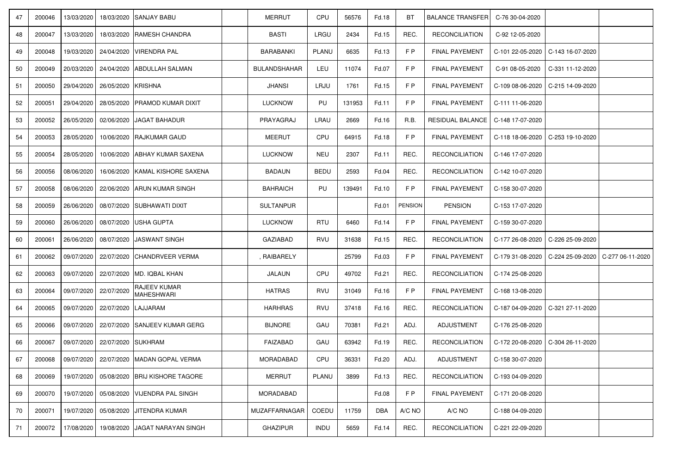| 47 | 200046 | 13/03/2020 |                                      | 18/03/2020 SANJAY BABU            | <b>MERRUT</b>       | CPU         | 56576  | Fd.18      | BT             | <b>BALANCE TRANSFER</b>                              | C-76 30-04-2020  |                                                        |  |
|----|--------|------------|--------------------------------------|-----------------------------------|---------------------|-------------|--------|------------|----------------|------------------------------------------------------|------------------|--------------------------------------------------------|--|
| 48 | 200047 | 13/03/2020 |                                      | 18/03/2020 RAMESH CHANDRA         | <b>BASTI</b>        | LRGU        | 2434   | Fd.15      | REC.           | <b>RECONCILIATION</b>                                | C-92 12-05-2020  |                                                        |  |
| 49 | 200048 | 19/03/2020 |                                      | 24/04/2020 VIRENDRA PAL           | <b>BARABANKI</b>    | PLANU       | 6635   | Fd.13      | F P            | FINAL PAYEMENT                                       |                  | C-101 22-05-2020   C-143 16-07-2020                    |  |
| 50 | 200049 | 20/03/2020 |                                      | 24/04/2020 ABDULLAH SALMAN        | <b>BULANDSHAHAR</b> | LEU         | 11074  | Fd.07      | F P            | <b>FINAL PAYEMENT</b>                                | C-91 08-05-2020  | C-331 11-12-2020                                       |  |
| 51 | 200050 | 29/04/2020 | 26/05/2020 KRISHNA                   |                                   | <b>JHANSI</b>       | LRJU        | 1761   | Fd.15      | F P            | <b>FINAL PAYEMENT</b>                                | C-109 08-06-2020 | C-215 14-09-2020                                       |  |
| 52 | 200051 | 29/04/2020 |                                      | 28/05/2020 PRAMOD KUMAR DIXIT     | <b>LUCKNOW</b>      | PU          | 131953 | Fd.11      | F P            | <b>FINAL PAYEMENT</b>                                | C-111 11-06-2020 |                                                        |  |
| 53 | 200052 | 26/05/2020 |                                      | 02/06/2020 JAGAT BAHADUR          | PRAYAGRAJ           | LRAU        | 2669   | Fd.16      | R.B.           | RESIDUAL BALANCE                                     | C-148 17-07-2020 |                                                        |  |
| 54 | 200053 | 28/05/2020 |                                      | 10/06/2020 RAJKUMAR GAUD          | MEERUT              | CPU         | 64915  | Fd.18      | F P            | <b>FINAL PAYEMENT</b>                                |                  | C-118 18-06-2020   C-253 19-10-2020                    |  |
| 55 | 200054 | 28/05/2020 |                                      | 10/06/2020   ABHAY KUMAR SAXENA   | <b>LUCKNOW</b>      | <b>NEU</b>  | 2307   | Fd.11      | REC.           | <b>RECONCILIATION</b>                                | C-146 17-07-2020 |                                                        |  |
| 56 | 200056 | 08/06/2020 | 16/06/2020                           | <b>IKAMAL KISHORE SAXENA</b>      | <b>BADAUN</b>       | <b>BEDU</b> | 2593   | Fd.04      | REC.           | <b>RECONCILIATION</b>                                | C-142 10-07-2020 |                                                        |  |
| 57 | 200058 | 08/06/2020 |                                      | 22/06/2020 ARUN KUMAR SINGH       | <b>BAHRAICH</b>     | PU          | 139491 | Fd.10      | F P            | <b>FINAL PAYEMENT</b>                                | C-158 30-07-2020 |                                                        |  |
| 58 | 200059 | 26/06/2020 |                                      | 08/07/2020 SUBHAWATI DIXIT        | <b>SULTANPUR</b>    |             |        | Fd.01      | <b>PENSION</b> | <b>PENSION</b>                                       | C-153 17-07-2020 |                                                        |  |
| 59 | 200060 | 26/06/2020 |                                      | 08/07/2020 USHA GUPTA             | <b>LUCKNOW</b>      | <b>RTU</b>  | 6460   | Fd.14      | F P            | <b>FINAL PAYEMENT</b>                                | C-159 30-07-2020 |                                                        |  |
| 60 | 200061 | 26/06/2020 |                                      | 08/07/2020 JJASWANT SINGH         | <b>GAZIABAD</b>     | RVU         | 31638  | Fd.15      | REC.           | <b>RECONCILIATION</b>                                |                  | C-177 26-08-2020 C-226 25-09-2020                      |  |
| 61 | 200062 | 09/07/2020 |                                      | 22/07/2020 CHANDRVEER VERMA       | , RAIBARELY         |             | 25799  | Fd.03      | F P            | FINAL PAYEMENT                                       |                  | C-179 31-08-2020   C-224 25-09-2020   C-277 06-11-2020 |  |
| 62 | 200063 | 09/07/2020 |                                      | 22/07/2020 MD. IQBAL KHAN         | <b>JALAUN</b>       | CPU         | 49702  | Fd.21      | REC.           | <b>RECONCILIATION</b>                                | C-174 25-08-2020 |                                                        |  |
| 63 | 200064 | 09/07/2020 | 22/07/2020                           | <b>RAJEEV KUMAR</b><br>MAHESHWARI | <b>HATRAS</b>       | RVU         | 31049  | Fd.16      | F P            | <b>FINAL PAYEMENT</b>                                | C-168 13-08-2020 |                                                        |  |
| 64 | 200065 | 09/07/2020 | 22/07/2020 LAJJARAM                  |                                   | <b>HARHRAS</b>      | RVU         | 37418  | Fd.16      | REC.           | <b>RECONCILIATION</b>                                | C-187 04-09-2020 | C-321 27-11-2020                                       |  |
| 65 | 200066 | 09/07/2020 |                                      | 22/07/2020 SANJEEV KUMAR GERG     | <b>BIJNORE</b>      | GAU         | 70381  | Fd.21      | ADJ.           | <b>ADJUSTMENT</b>                                    | C-176 25-08-2020 |                                                        |  |
| 66 |        |            | 200067 09/07/2020 22/07/2020 SUKHRAM |                                   | FAIZABAD            | GAU         | 63942  | Fd.19      | REC.           | RECONCILIATION   C-172 20-08-2020   C-304 26-11-2020 |                  |                                                        |  |
| 67 | 200068 | 09/07/2020 |                                      | 22/07/2020 MADAN GOPAL VERMA      | MORADABAD           | CPU         | 36331  | Fd.20      | ADJ.           | ADJUSTMENT                                           | C-158 30-07-2020 |                                                        |  |
| 68 | 200069 | 19/07/2020 |                                      | 05/08/2020 BRIJ KISHORE TAGORE    | <b>MERRUT</b>       | PLANU       | 3899   | Fd.13      | REC.           | <b>RECONCILIATION</b>                                | C-193 04-09-2020 |                                                        |  |
| 69 | 200070 | 19/07/2020 |                                      | 05/08/2020 VIJENDRA PAL SINGH     | MORADABAD           |             |        | Fd.08      | F P            | <b>FINAL PAYEMENT</b>                                | C-171 20-08-2020 |                                                        |  |
| 70 | 200071 | 19/07/2020 | 05/08/2020                           | <b>JITENDRA KUMAR</b>             | MUZAFFARNAGAR       | COEDU       | 11759  | <b>DBA</b> | A/C NO         | A/C NO                                               | C-188 04-09-2020 |                                                        |  |
| 71 | 200072 | 17/08/2020 |                                      | 19/08/2020 JAGAT NARAYAN SINGH    | <b>GHAZIPUR</b>     | <b>INDU</b> | 5659   | Fd.14      | REC.           | <b>RECONCILIATION</b>                                | C-221 22-09-2020 |                                                        |  |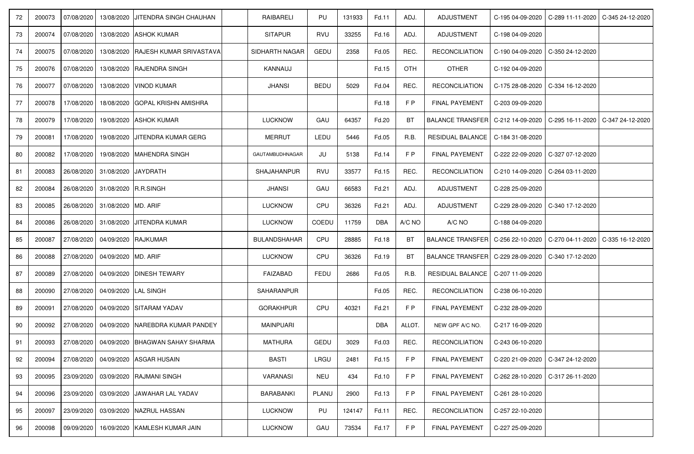| 72 | 200073 | 07/08/2020 |                      | 13/08/2020 JJITENDRA SINGH CHAUHAN                | RAIBARELI           | PU          | 131933 | Fd.11      | ADJ.       | ADJUSTMENT                                                                |                  | C-195 04-09-2020   C-289 11-11-2020   C-345 24-12-2020 |  |
|----|--------|------------|----------------------|---------------------------------------------------|---------------------|-------------|--------|------------|------------|---------------------------------------------------------------------------|------------------|--------------------------------------------------------|--|
| 73 | 200074 | 07/08/2020 |                      | 13/08/2020 ASHOK KUMAR                            | <b>SITAPUR</b>      | RVU         | 33255  | Fd.16      | ADJ.       | ADJUSTMENT                                                                | C-198 04-09-2020 |                                                        |  |
| 74 | 200075 | 07/08/2020 |                      | 13/08/2020 RAJESH KUMAR SRIVASTAVA                | SIDHARTH NAGAR      | GEDU        | 2358   | Fd.05      | REC.       | <b>RECONCILIATION</b>                                                     |                  | C-190 04-09-2020   C-350 24-12-2020                    |  |
| 75 | 200076 | 07/08/2020 |                      | 13/08/2020 RAJENDRA SINGH                         | KANNAUJ             |             |        | Fd.15      | <b>OTH</b> | <b>OTHER</b>                                                              | C-192 04-09-2020 |                                                        |  |
| 76 | 200077 | 07/08/2020 |                      | 13/08/2020   VINOD KUMAR                          | <b>JHANSI</b>       | <b>BEDU</b> | 5029   | Fd.04      | REC.       | <b>RECONCILIATION</b>                                                     | C-175 28-08-2020 | C-334 16-12-2020                                       |  |
| 77 | 200078 | 17/08/2020 |                      | 18/08/2020 GOPAL KRISHN AMISHRA                   |                     |             |        | Fd.18      | F P        | FINAL PAYEMENT                                                            | C-203 09-09-2020 |                                                        |  |
| 78 | 200079 | 17/08/2020 |                      | 19/08/2020 ASHOK KUMAR                            | <b>LUCKNOW</b>      | GAU         | 64357  | Fd.20      | BT         | BALANCE TRANSFER   C-212 14-09-2020   C-295 16-11-2020   C-347 24-12-2020 |                  |                                                        |  |
| 79 | 200081 | 17/08/2020 | 19/08/2020           | <b>JJITENDRA KUMAR GERG</b>                       | <b>MERRUT</b>       | LEDU        | 5446   | Fd.05      | R.B.       | RESIDUAL BALANCE                                                          | C-184 31-08-2020 |                                                        |  |
| 80 | 200082 | 17/08/2020 |                      | 19/08/2020 MAHENDRA SINGH                         | GAUTAMBUDHNAGAR     | JU          | 5138   | Fd.14      | F P        | FINAL PAYEMENT                                                            | C-222 22-09-2020 | C-327 07-12-2020                                       |  |
| 81 | 200083 | 26/08/2020 | 31/08/2020           | JAYDRATH                                          | <b>SHAJAHANPUR</b>  | <b>RVU</b>  | 33577  | Fd.15      | REC.       | <b>RECONCILIATION</b>                                                     | C-210 14-09-2020 | C-264 03-11-2020                                       |  |
| 82 | 200084 | 26/08/2020 | 31/08/2020 R.R.SINGH |                                                   | <b>JHANSI</b>       | GAU         | 66583  | Fd.21      | ADJ.       | <b>ADJUSTMENT</b>                                                         | C-228 25-09-2020 |                                                        |  |
| 83 | 200085 | 26/08/2020 | 31/08/2020 IMD. ARIF |                                                   | <b>LUCKNOW</b>      | CPU         | 36326  | Fd.21      | ADJ.       | ADJUSTMENT                                                                | C-229 28-09-2020 | C-340 17-12-2020                                       |  |
| 84 | 200086 | 26/08/2020 |                      | 31/08/2020 JJITENDRA KUMAR                        | <b>LUCKNOW</b>      | COEDU       | 11759  | <b>DBA</b> | A/C NO     | A/C NO                                                                    | C-188 04-09-2020 |                                                        |  |
| 85 | 200087 | 27/08/2020 | 04/09/2020 RAJKUMAR  |                                                   | <b>BULANDSHAHAR</b> | <b>CPU</b>  | 28885  | Fd.18      | <b>BT</b>  | BALANCE TRANSFER   C-256 22-10-2020   C-270 04-11-2020   C-335 16-12-2020 |                  |                                                        |  |
| 86 | 200088 | 27/08/2020 | 04/09/2020 MD. ARIF  |                                                   | <b>LUCKNOW</b>      | CPU         | 36326  | Fd.19      | BT         | BALANCE TRANSFER   C-229 28-09-2020   C-340 17-12-2020                    |                  |                                                        |  |
| 87 | 200089 | 27/08/2020 |                      | 04/09/2020 DINESH TEWARY                          | FAIZABAD            | <b>FEDU</b> | 2686   | Fd.05      | R.B.       | RESIDUAL BALANCE                                                          | C-207 11-09-2020 |                                                        |  |
| 88 | 200090 | 27/08/2020 | 04/09/2020 LAL SINGH |                                                   | SAHARANPUR          |             |        | Fd.05      | REC.       | <b>RECONCILIATION</b>                                                     | C-238 06-10-2020 |                                                        |  |
| 89 | 200091 | 27/08/2020 |                      | 04/09/2020 SITARAM YADAV                          | <b>GORAKHPUR</b>    | CPU         | 40321  | Fd.21      | F P        | <b>FINAL PAYEMENT</b>                                                     | C-232 28-09-2020 |                                                        |  |
| 90 | 200092 | 27/08/2020 |                      | 04/09/2020   NAREBDRA KUMAR PANDEY                | <b>MAINPUARI</b>    |             |        | <b>DBA</b> | ALLOT.     | NEW GPF A/C NO.                                                           | C-217 16-09-2020 |                                                        |  |
| 91 |        |            |                      | 200093 27/08/2020 04/09/2020 BHAGWAN SAHAY SHARMA | <b>MATHURA</b>      | GEDU        | 3029   | Fd.03      | REC.       | RECONCILIATION                                                            | C-243 06-10-2020 |                                                        |  |
| 92 | 200094 | 27/08/2020 |                      | 04/09/2020 ASGAR HUSAIN                           | <b>BASTI</b>        | LRGU        | 2481   | Fd.15      | F P        | FINAL PAYEMENT                                                            |                  | C-220 21-09-2020 C-347 24-12-2020                      |  |
| 93 | 200095 | 23/09/2020 |                      | 03/09/2020 RAJMANI SINGH                          | <b>VARANASI</b>     | <b>NEU</b>  | 434    | Fd.10      | F P        | <b>FINAL PAYEMENT</b>                                                     |                  | C-262 28-10-2020   C-317 26-11-2020                    |  |
| 94 | 200096 | 23/09/2020 | 03/09/2020           | <b>JAWAHAR LAL YADAV</b>                          | BARABANKI           | PLANU       | 2900   | Fd.13      | F P        | <b>FINAL PAYEMENT</b>                                                     | C-261 28-10-2020 |                                                        |  |
| 95 | 200097 | 23/09/2020 |                      | 03/09/2020 NAZRUL HASSAN                          | <b>LUCKNOW</b>      | PU          | 124147 | Fd.11      | REC.       | <b>RECONCILIATION</b>                                                     | C-257 22-10-2020 |                                                        |  |
| 96 | 200098 | 09/09/2020 |                      | 16/09/2020 KAMLESH KUMAR JAIN                     | <b>LUCKNOW</b>      | GAU         | 73534  | Fd.17      | F P        | <b>FINAL PAYEMENT</b>                                                     | C-227 25-09-2020 |                                                        |  |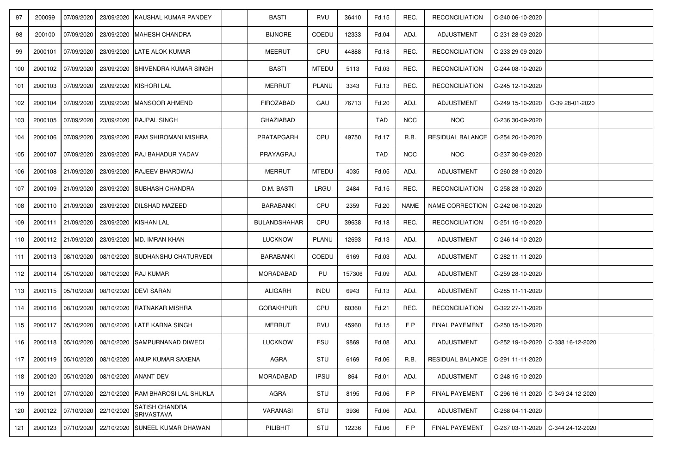| 97  | 200099  | 07/09/2020                                       | 23/09/2020 KAUSHAL KUMAR PANDEY     | <b>BASTI</b>        | <b>RVU</b>   | 36410  | Fd.15      | REC.       | <b>RECONCILIATION</b>   | C-240 06-10-2020 |                                     |  |
|-----|---------|--------------------------------------------------|-------------------------------------|---------------------|--------------|--------|------------|------------|-------------------------|------------------|-------------------------------------|--|
| 98  | 200100  | 07/09/2020                                       | 23/09/2020 MAHESH CHANDRA           | <b>BIJNORE</b>      | COEDU        | 12333  | Fd.04      | ADJ.       | ADJUSTMENT              | C-231 28-09-2020 |                                     |  |
| 99  | 2000101 | 07/09/2020                                       | 23/09/2020 LATE ALOK KUMAR          | <b>MEERUT</b>       | CPU          | 44888  | Fd.18      | REC.       | <b>RECONCILIATION</b>   | C-233 29-09-2020 |                                     |  |
| 100 | 2000102 | 07/09/2020                                       | 23/09/2020 SHIVENDRA KUMAR SINGH    | <b>BASTI</b>        | <b>MTEDU</b> | 5113   | Fd.03      | REC.       | <b>RECONCILIATION</b>   | C-244 08-10-2020 |                                     |  |
| 101 | 2000103 | 07/09/2020                                       | 23/09/2020 KISHORI LAL              | MERRUT              | PLANU        | 3343   | Fd.13      | REC.       | <b>RECONCILIATION</b>   | C-245 12-10-2020 |                                     |  |
| 102 | 2000104 | 07/09/2020                                       | 23/09/2020 MANSOOR AHMEND           | <b>FIROZABAD</b>    | GAU          | 76713  | Fd.20      | ADJ.       | ADJUSTMENT              | C-249 15-10-2020 | C-39 28-01-2020                     |  |
| 103 | 2000105 | 07/09/2020                                       | 23/09/2020 RAJPAL SINGH             | <b>GHAZIABAD</b>    |              |        | <b>TAD</b> | <b>NOC</b> | <b>NOC</b>              | C-236 30-09-2020 |                                     |  |
| 104 | 2000106 | 07/09/2020                                       | 23/09/2020 RAM SHIROMANI MISHRA     | PRATAPGARH          | CPU          | 49750  | Fd.17      | R.B.       | RESIDUAL BALANCE        | C-254 20-10-2020 |                                     |  |
| 105 | 2000107 | 07/09/2020                                       | 23/09/2020 RAJ BAHADUR YADAV        | PRAYAGRAJ           |              |        | <b>TAD</b> | <b>NOC</b> | <b>NOC</b>              | C-237 30-09-2020 |                                     |  |
| 106 | 2000108 | 21/09/2020                                       | 23/09/2020 RAJEEV BHARDWAJ          | <b>MERRUT</b>       | <b>MTEDU</b> | 4035   | Fd.05      | ADJ.       | ADJUSTMENT              | C-260 28-10-2020 |                                     |  |
| 107 | 2000109 | 21/09/2020                                       | 23/09/2020 SUBHASH CHANDRA          | D.M. BASTI          | LRGU         | 2484   | Fd.15      | REC.       | <b>RECONCILIATION</b>   | C-258 28-10-2020 |                                     |  |
| 108 | 2000110 | 21/09/2020                                       | 23/09/2020   DILSHAD MAZEED         | <b>BARABANKI</b>    | CPU          | 2359   | Fd.20      | NAME       | NAME CORRECTION         | C-242 06-10-2020 |                                     |  |
| 109 | 2000111 | 21/09/2020                                       | 23/09/2020 KISHAN LAL               | <b>BULANDSHAHAR</b> | CPU          | 39638  | Fd.18      | REC.       | <b>RECONCILIATION</b>   | C-251 15-10-2020 |                                     |  |
| 110 |         | 2000112 21/09/2020                               | 23/09/2020 MD. IMRAN KHAN           | <b>LUCKNOW</b>      | PLANU        | 12693  | Fd.13      | ADJ.       | ADJUSTMENT              | C-246 14-10-2020 |                                     |  |
| 111 |         | 2000113   08/10/2020                             | 08/10/2020 SUDHANSHU CHATURVEDI     | <b>BARABANKI</b>    | COEDU        | 6169   | Fd.03      | ADJ.       | ADJUSTMENT              | C-282 11-11-2020 |                                     |  |
| 112 |         | 2000114   05/10/2020                             | 08/10/2020 RAJ KUMAR                | MORADABAD           | PU           | 157306 | Fd.09      | ADJ.       | <b>ADJUSTMENT</b>       | C-259 28-10-2020 |                                     |  |
| 113 |         | 2000115   05/10/2020                             | 08/10/2020 DEVI SARAN               | <b>ALIGARH</b>      | <b>INDU</b>  | 6943   | Fd.13      | ADJ.       | ADJUSTMENT              | C-285 11-11-2020 |                                     |  |
| 114 |         | 2000116 08/10/2020                               | 08/10/2020 RATNAKAR MISHRA          | <b>GORAKHPUR</b>    | CPU          | 60360  | Fd.21      | REC.       | <b>RECONCILIATION</b>   | C-322 27-11-2020 |                                     |  |
| 115 |         | 2000117 05/10/2020                               | 08/10/2020 LATE KARNA SINGH         | <b>MERRUT</b>       | <b>RVU</b>   | 45960  | Fd.15      | F P        | <b>FINAL PAYEMENT</b>   | C-250 15-10-2020 |                                     |  |
| 116 |         | 2000118 05/10/2020 08/10/2020 SAMPURNANAD DIWEDI |                                     | LUCKNOW             | <b>FSU</b>   | 9869   | Fd.08      | ADJ.       | ADJUSTMENT              |                  | C-252 19-10-2020 C-338 16-12-2020   |  |
| 117 |         | 2000119 05/10/2020                               | 08/10/2020 ANUP KUMAR SAXENA        | AGRA                | STU          | 6169   | Fd.06      | R.B.       | <b>RESIDUAL BALANCE</b> | C-291 11-11-2020 |                                     |  |
| 118 | 2000120 | 05/10/2020                                       | 08/10/2020 ANANT DEV                | <b>MORADABAD</b>    | <b>IPSU</b>  | 864    | Fd.01      | ADJ.       | ADJUSTMENT              | C-248 15-10-2020 |                                     |  |
| 119 | 2000121 | 07/10/2020                                       | 22/10/2020 RAM BHAROSI LAL SHUKLA   | AGRA                | STU          | 8195   | Fd.06      | F P        | <b>FINAL PAYEMENT</b>   | C-296 16-11-2020 | C-349 24-12-2020                    |  |
| 120 | 2000122 | 22/10/2020<br>07/10/2020                         | <b>SATISH CHANDRA</b><br>SRIVASTAVA | VARANASI            | STU          | 3936   | Fd.06      | ADJ.       | ADJUSTMENT              | C-268 04-11-2020 |                                     |  |
| 121 | 2000123 | 07/10/2020                                       | 22/10/2020 SUNEEL KUMAR DHAWAN      | PILIBHIT            | STU          | 12236  | Fd.06      | F P        | FINAL PAYEMENT          |                  | C-267 03-11-2020   C-344 24-12-2020 |  |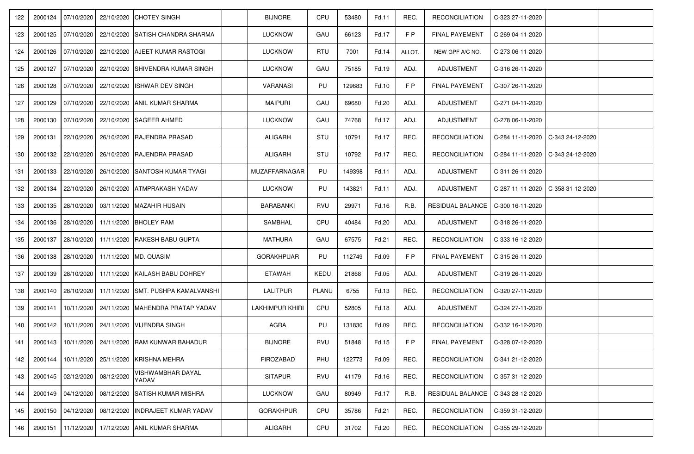| 122 | 2000124 | 07/10/2020         |            | 22/10/2020 CHOTEY SINGH                                | <b>BIJNORE</b>         | CPU          | 53480  | Fd.11 | REC.   | <b>RECONCILIATION</b>             | C-323 27-11-2020 |                  |  |
|-----|---------|--------------------|------------|--------------------------------------------------------|------------------------|--------------|--------|-------|--------|-----------------------------------|------------------|------------------|--|
| 123 |         | 2000125 07/10/2020 |            | 22/10/2020 SATISH CHANDRA SHARMA                       | <b>LUCKNOW</b>         | GAU          | 66123  | Fd.17 | F P    | FINAL PAYEMENT                    | C-269 04-11-2020 |                  |  |
| 124 | 2000126 | 07/10/2020         |            | 22/10/2020 AJEET KUMAR RASTOGI                         | <b>LUCKNOW</b>         | <b>RTU</b>   | 7001   | Fd.14 | ALLOT. | NEW GPF A/C NO.                   | C-273 06-11-2020 |                  |  |
| 125 | 2000127 | 07/10/2020         | 22/10/2020 | ISHIVENDRA KUMAR SINGH                                 | <b>LUCKNOW</b>         | GAU          | 75185  | Fd.19 | ADJ.   | ADJUSTMENT                        | C-316 26-11-2020 |                  |  |
| 126 | 2000128 | 07/10/2020         | 22/10/2020 | ISHWAR DEV SINGH                                       | VARANASI               | PU           | 129683 | Fd.10 | F P    | <b>FINAL PAYEMENT</b>             | C-307 26-11-2020 |                  |  |
| 127 | 2000129 | 07/10/2020         |            | 22/10/2020 ANIL KUMAR SHARMA                           | <b>MAIPURI</b>         | GAU          | 69680  | Fd.20 | ADJ.   | ADJUSTMENT                        | C-271 04-11-2020 |                  |  |
| 128 |         | 2000130 07/10/2020 |            | 22/10/2020 SAGEER AHMED                                | <b>LUCKNOW</b>         | GAU          | 74768  | Fd.17 | ADJ.   | ADJUSTMENT                        | C-278 06-11-2020 |                  |  |
| 129 | 2000131 | 22/10/2020         |            | 26/10/2020 RAJENDRA PRASAD                             | ALIGARH                | STU          | 10791  | Fd.17 | REC.   | <b>RECONCILIATION</b>             | C-284 11-11-2020 | C-343 24-12-2020 |  |
| 130 | 2000132 | 22/10/2020         |            | 26/10/2020 RAJENDRA PRASAD                             | <b>ALIGARH</b>         | STU          | 10792  | Fd.17 | REC.   | <b>RECONCILIATION</b>             | C-284 11-11-2020 | C-343 24-12-2020 |  |
| 131 | 2000133 | 22/10/2020         | 26/10/2020 | <b>SANTOSH KUMAR TYAGI</b>                             | MUZAFFARNAGAR          | PU           | 149398 | Fd.11 | ADJ.   | ADJUSTMENT                        | C-311 26-11-2020 |                  |  |
| 132 | 2000134 | 22/10/2020         |            | 26/10/2020 ATMPRAKASH YADAV                            | <b>LUCKNOW</b>         | PU           | 143821 | Fd.11 | ADJ.   | ADJUSTMENT                        | C-287 11-11-2020 | C-358 31-12-2020 |  |
| 133 | 2000135 | 28/10/2020         |            | 03/11/2020   MAZAHIR HUSAIN                            | <b>BARABANKI</b>       | RVU          | 29971  | Fd.16 | R.B.   | RESIDUAL BALANCE                  | C-300 16-11-2020 |                  |  |
| 134 | 2000136 | 28/10/2020         |            | 11/11/2020 BHOLEY RAM                                  | SAMBHAL                | CPU          | 40484  | Fd.20 | ADJ.   | ADJUSTMENT                        | C-318 26-11-2020 |                  |  |
| 135 | 2000137 | 28/10/2020         |            | 11/11/2020 RAKESH BABU GUPTA                           | <b>MATHURA</b>         | GAU          | 67575  | Fd.21 | REC.   | <b>RECONCILIATION</b>             | C-333 16-12-2020 |                  |  |
| 136 |         | 2000138 28/10/2020 |            | 11/11/2020 MD. QUASIM                                  | <b>GORAKHPUAR</b>      | PU           | 112749 | Fd.09 | F P    | <b>FINAL PAYEMENT</b>             | C-315 26-11-2020 |                  |  |
| 137 | 2000139 | 28/10/2020         |            | 11/11/2020 KAILASH BABU DOHREY                         | ETAWAH                 | KEDU         | 21868  | Fd.05 | ADJ.   | ADJUSTMENT                        | C-319 26-11-2020 |                  |  |
| 138 | 2000140 | 28/10/2020         |            | 11/11/2020 SMT. PUSHPA KAMALVANSHI                     | <b>LALITPUR</b>        | <b>PLANU</b> | 6755   | Fd.13 | REC.   | <b>RECONCILIATION</b>             | C-320 27-11-2020 |                  |  |
| 139 | 2000141 | 10/11/2020         |            | 24/11/2020 MAHENDRA PRATAP YADAV                       | <b>LAKHIMPUR KHIRI</b> | CPU          | 52805  | Fd.18 | ADJ.   | ADJUSTMENT                        | C-324 27-11-2020 |                  |  |
| 140 | 2000142 | 10/11/2020         |            | 24/11/2020 VIJENDRA SINGH                              | <b>AGRA</b>            | PU           | 131830 | Fd.09 | REC.   | <b>RECONCILIATION</b>             | C-332 16-12-2020 |                  |  |
| 141 |         |                    |            | 2000143   10/11/2020   24/11/2020   RAM KUNWAR BAHADUR | <b>BIJNORE</b>         | RVU          | 51848  | Fd.15 | F P    | FINAL PAYEMENT   C-328 07-12-2020 |                  |                  |  |
| 142 | 2000144 | 10/11/2020         |            | 25/11/2020 KRISHNA MEHRA                               | FIROZABAD              | PHU          | 122773 | Fd.09 | REC.   | <b>RECONCILIATION</b>             | C-341 21-12-2020 |                  |  |
| 143 | 2000145 | 02/12/2020         | 08/12/2020 | VISHWAMBHAR DAYAL<br>YADAV                             | <b>SITAPUR</b>         | RVU          | 41179  | Fd.16 | REC.   | <b>RECONCILIATION</b>             | C-357 31-12-2020 |                  |  |
| 144 | 2000149 | 04/12/2020         | 08/12/2020 | SATISH KUMAR MISHRA                                    | <b>LUCKNOW</b>         | GAU          | 80949  | Fd.17 | R.B.   | RESIDUAL BALANCE                  | C-343 28-12-2020 |                  |  |
| 145 |         | 2000150 04/12/2020 | 08/12/2020 | <b>INDRAJEET KUMAR YADAV</b>                           | <b>GORAKHPUR</b>       | CPU          | 35786  | Fd.21 | REC.   | <b>RECONCILIATION</b>             | C-359 31-12-2020 |                  |  |
| 146 | 2000151 | 11/12/2020         |            | 17/12/2020 ANIL KUMAR SHARMA                           | ALIGARH                | CPU          | 31702  | Fd.20 | REC.   | <b>RECONCILIATION</b>             | C-355 29-12-2020 |                  |  |